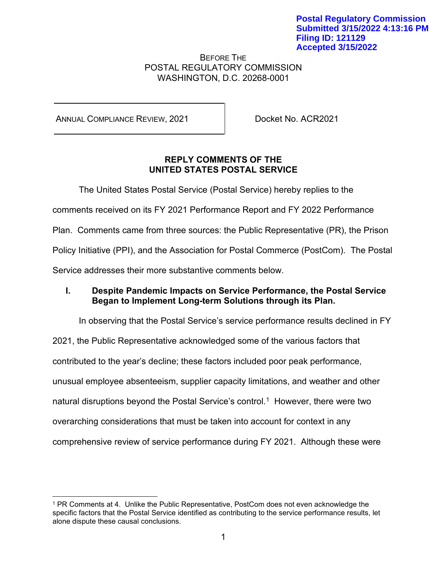#### BEFORE THE POSTAL REGULATORY COMMISSION WASHINGTON, D.C. 20268-0001

ANNUAL COMPLIANCE REVIEW, 2021 | Docket No. ACR2021

### **REPLY COMMENTS OF THE UNITED STATES POSTAL SERVICE**

The United States Postal Service (Postal Service) hereby replies to the

comments received on its FY 2021 Performance Report and FY 2022 Performance

Plan. Comments came from three sources: the Public Representative (PR), the Prison

Policy Initiative (PPI), and the Association for Postal Commerce (PostCom). The Postal

Service addresses their more substantive comments below.

# **I. Despite Pandemic Impacts on Service Performance, the Postal Service Began to Implement Long-term Solutions through its Plan.**

In observing that the Postal Service's service performance results declined in FY 2021, the Public Representative acknowledged some of the various factors that contributed to the year's decline; these factors included poor peak performance, unusual employee absenteeism, supplier capacity limitations, and weather and other natural disruptions beyond the Postal Service's control.<sup>[1](#page-0-0)</sup> However, there were two overarching considerations that must be taken into account for context in any comprehensive review of service performance during FY 2021. Although these were

<span id="page-0-0"></span><sup>1</sup> PR Comments at 4. Unlike the Public Representative, PostCom does not even acknowledge the specific factors that the Postal Service identified as contributing to the service performance results, let alone dispute these causal conclusions.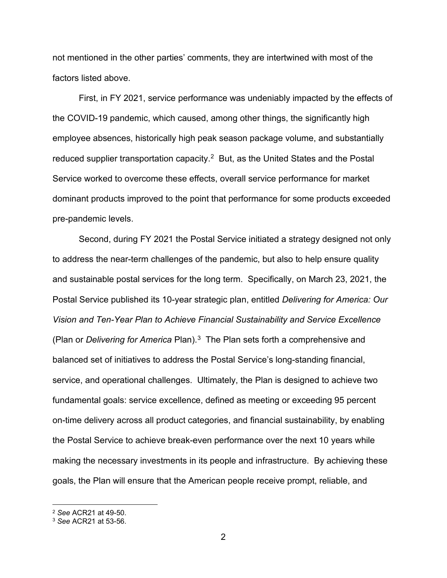not mentioned in the other parties' comments, they are intertwined with most of the factors listed above.

First, in FY 2021, service performance was undeniably impacted by the effects of the COVID-19 pandemic, which caused, among other things, the significantly high employee absences, historically high peak season package volume, and substantially reduced supplier transportation capacity.<sup>[2](#page-1-0)</sup> But, as the United States and the Postal Service worked to overcome these effects, overall service performance for market dominant products improved to the point that performance for some products exceeded pre-pandemic levels.

Second, during FY 2021 the Postal Service initiated a strategy designed not only to address the near-term challenges of the pandemic, but also to help ensure quality and sustainable postal services for the long term. Specifically, on March 23, 2021, the Postal Service published its 10-year strategic plan, entitled *Delivering for America: Our Vision and Ten-Year Plan to Achieve Financial Sustainability and Service Excellence*  (Plan or *Delivering for America* Plan).[3](#page-1-1) The Plan sets forth a comprehensive and balanced set of initiatives to address the Postal Service's long-standing financial, service, and operational challenges. Ultimately, the Plan is designed to achieve two fundamental goals: service excellence, defined as meeting or exceeding 95 percent on-time delivery across all product categories, and financial sustainability, by enabling the Postal Service to achieve break-even performance over the next 10 years while making the necessary investments in its people and infrastructure. By achieving these goals, the Plan will ensure that the American people receive prompt, reliable, and

<span id="page-1-0"></span><sup>2</sup> *See* ACR21 at 49-50.

<span id="page-1-1"></span><sup>3</sup> *See* ACR21 at 53-56.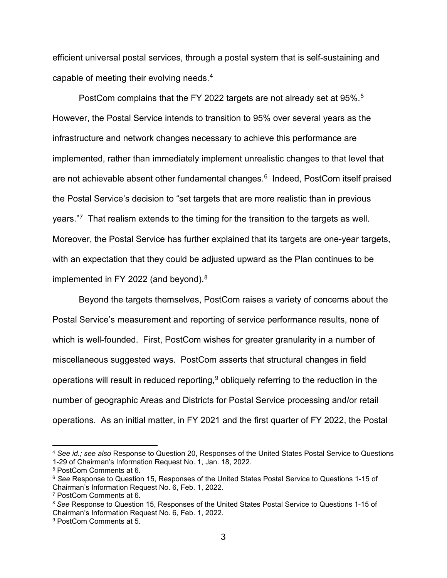efficient universal postal services, through a postal system that is self-sustaining and capable of meeting their evolving needs.[4](#page-2-0)

PostCom complains that the FY 2022 targets are not already set at 95%.<sup>5</sup> However, the Postal Service intends to transition to 95% over several years as the infrastructure and network changes necessary to achieve this performance are implemented, rather than immediately implement unrealistic changes to that level that are not achievable absent other fundamental changes. [6](#page-2-2) Indeed, PostCom itself praised the Postal Service's decision to "set targets that are more realistic than in previous years." $\frac{7}{7}$  That realism extends to the timing for the transition to the targets as well. Moreover, the Postal Service has further explained that its targets are one-year targets, with an expectation that they could be adjusted upward as the Plan continues to be implemented in FY 2022 (and beyond). $8$ 

Beyond the targets themselves, PostCom raises a variety of concerns about the Postal Service's measurement and reporting of service performance results, none of which is well-founded. First, PostCom wishes for greater granularity in a number of miscellaneous suggested ways. PostCom asserts that structural changes in field operations will result in reduced reporting, $9$  obliquely referring to the reduction in the number of geographic Areas and Districts for Postal Service processing and/or retail operations. As an initial matter, in FY 2021 and the first quarter of FY 2022, the Postal

<span id="page-2-0"></span><sup>4</sup> *See id.; see also* Response to Question 20, Responses of the United States Postal Service to Questions 1-29 of Chairman's Information Request No. 1, Jan. 18, 2022.

<span id="page-2-1"></span><sup>5</sup> PostCom Comments at 6.

<span id="page-2-2"></span><sup>6</sup> *See* Response to Question 15, Responses of the United States Postal Service to Questions 1-15 of Chairman's Information Request No. 6, Feb. 1, 2022.

<span id="page-2-3"></span><sup>7</sup> PostCom Comments at 6.

<span id="page-2-4"></span><sup>8</sup> *See* Response to Question 15, Responses of the United States Postal Service to Questions 1-15 of Chairman's Information Request No. 6, Feb. 1, 2022.

<span id="page-2-5"></span><sup>9</sup> PostCom Comments at 5.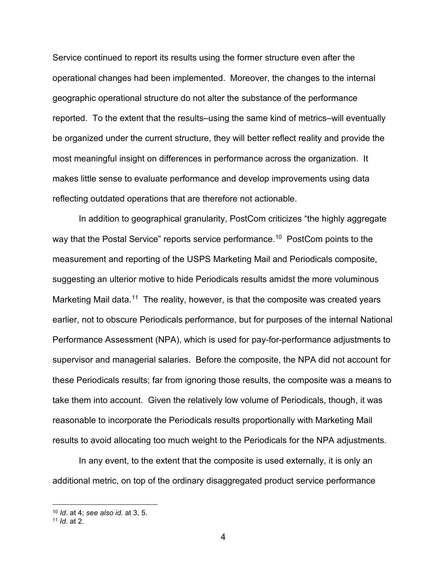Service continued to report its results using the former structure even after the operational changes had been implemented. Moreover, the changes to the internal geographic operational structure do not alter the substance of the performance reported. To the extent that the results–using the same kind of metrics–will eventually be organized under the current structure, they will better reflect reality and provide the most meaningful insight on differences in performance across the organization. It makes little sense to evaluate performance and develop improvements using data reflecting outdated operations that are therefore not actionable.

In addition to geographical granularity, PostCom criticizes "the highly aggregate way that the Postal Service" reports service performance.<sup>[10](#page-3-0)</sup> PostCom points to the measurement and reporting of the USPS Marketing Mail and Periodicals composite, suggesting an ulterior motive to hide Periodicals results amidst the more voluminous Marketing Mail data.<sup>[11](#page-3-1)</sup> The reality, however, is that the composite was created years earlier, not to obscure Periodicals performance, but for purposes of the internal National Performance Assessment (NPA), which is used for pay-for-performance adjustments to supervisor and managerial salaries. Before the composite, the NPA did not account for these Periodicals results; far from ignoring those results, the composite was a means to take them into account. Given the relatively low volume of Periodicals, though, it was reasonable to incorporate the Periodicals results proportionally with Marketing Mail results to avoid allocating too much weight to the Periodicals for the NPA adjustments.

In any event, to the extent that the composite is used externally, it is only an additional metric, on top of the ordinary disaggregated product service performance

<span id="page-3-0"></span><sup>10</sup> *Id*. at 4; *see also id.* at 3, 5.

<span id="page-3-1"></span><sup>11</sup> *Id*. at 2.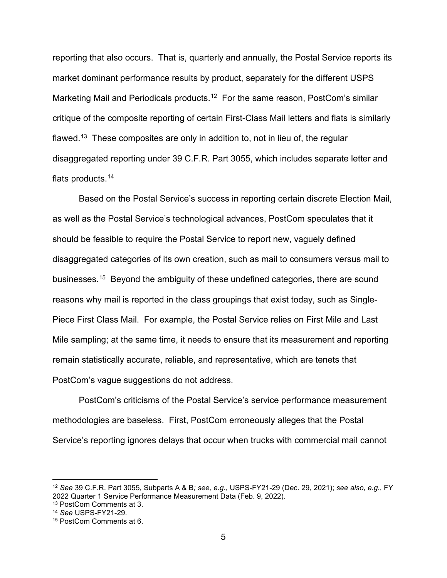reporting that also occurs. That is, quarterly and annually, the Postal Service reports its market dominant performance results by product, separately for the different USPS Marketing Mail and Periodicals products.[12](#page-4-0) For the same reason, PostCom's similar critique of the composite reporting of certain First-Class Mail letters and flats is similarly flawed.<sup>[13](#page-4-1)</sup> These composites are only in addition to, not in lieu of, the regular disaggregated reporting under 39 C.F.R. Part 3055, which includes separate letter and flats products.<sup>[14](#page-4-2)</sup>

Based on the Postal Service's success in reporting certain discrete Election Mail, as well as the Postal Service's technological advances, PostCom speculates that it should be feasible to require the Postal Service to report new, vaguely defined disaggregated categories of its own creation, such as mail to consumers versus mail to businesses.[15](#page-4-3) Beyond the ambiguity of these undefined categories, there are sound reasons why mail is reported in the class groupings that exist today, such as Single-Piece First Class Mail. For example, the Postal Service relies on First Mile and Last Mile sampling; at the same time, it needs to ensure that its measurement and reporting remain statistically accurate, reliable, and representative, which are tenets that PostCom's vague suggestions do not address.

PostCom's criticisms of the Postal Service's service performance measurement methodologies are baseless. First, PostCom erroneously alleges that the Postal Service's reporting ignores delays that occur when trucks with commercial mail cannot

<span id="page-4-0"></span><sup>12</sup> *See* 39 C.F.R. Part 3055, Subparts A & B*; see, e.g.*, USPS-FY21-29 (Dec. 29, 2021); *see also, e.g.*, FY 2022 Quarter 1 Service Performance Measurement Data (Feb. 9, 2022).

<span id="page-4-1"></span><sup>13</sup> PostCom Comments at 3.

<span id="page-4-2"></span><sup>14</sup> *See* USPS-FY21-29.

<span id="page-4-3"></span><sup>15</sup> PostCom Comments at 6.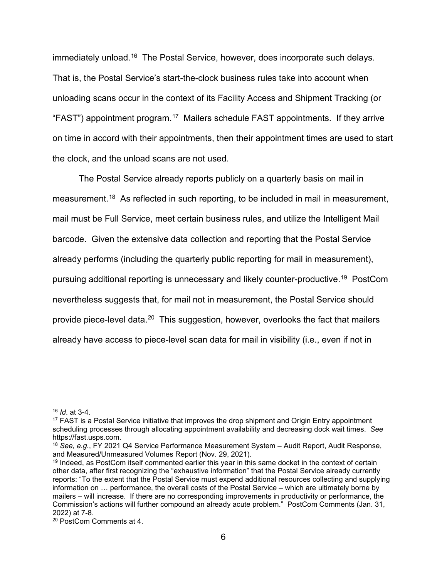immediately unload.<sup>[16](#page-5-0)</sup> The Postal Service, however, does incorporate such delays. That is, the Postal Service's start-the-clock business rules take into account when unloading scans occur in the context of its Facility Access and Shipment Tracking (or "FAST") appointment program.[17](#page-5-1) Mailers schedule FAST appointments. If they arrive on time in accord with their appointments, then their appointment times are used to start the clock, and the unload scans are not used.

The Postal Service already reports publicly on a quarterly basis on mail in measurement.<sup>[18](#page-5-2)</sup> As reflected in such reporting, to be included in mail in measurement, mail must be Full Service, meet certain business rules, and utilize the Intelligent Mail barcode. Given the extensive data collection and reporting that the Postal Service already performs (including the quarterly public reporting for mail in measurement), pursuing additional reporting is unnecessary and likely counter-productive.[19](#page-5-3) PostCom nevertheless suggests that, for mail not in measurement, the Postal Service should provide piece-level data.[20](#page-5-4) This suggestion, however, overlooks the fact that mailers already have access to piece-level scan data for mail in visibility (i.e., even if not in

<span id="page-5-0"></span><sup>16</sup> *Id*. at 3-4.

<span id="page-5-1"></span><sup>&</sup>lt;sup>17</sup> FAST is a Postal Service initiative that improves the drop shipment and Origin Entry appointment scheduling processes through allocating appointment availability and decreasing dock wait times. *See* https://fast.usps.com.

<span id="page-5-2"></span><sup>18</sup> *See, e.g.*, FY 2021 Q4 Service Performance Measurement System – Audit Report, Audit Response, and Measured/Unmeasured Volumes Report (Nov. 29, 2021).

<span id="page-5-3"></span><sup>19</sup> Indeed, as PostCom itself commented earlier this year in this same docket in the context of certain other data, after first recognizing the "exhaustive information" that the Postal Service already currently reports: "To the extent that the Postal Service must expend additional resources collecting and supplying information on … performance, the overall costs of the Postal Service – which are ultimately borne by mailers – will increase. If there are no corresponding improvements in productivity or performance, the Commission's actions will further compound an already acute problem." PostCom Comments (Jan. 31, 2022) at 7-8.

<span id="page-5-4"></span><sup>20</sup> PostCom Comments at 4.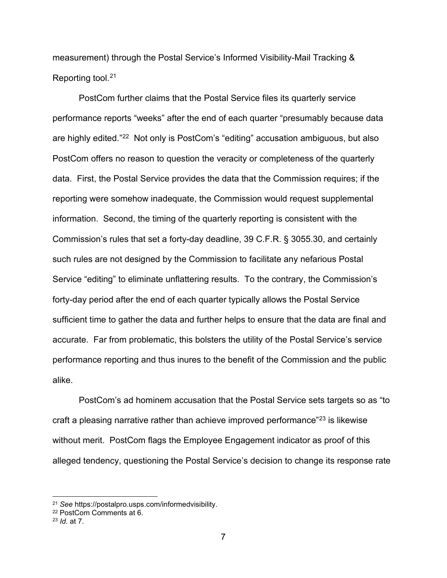measurement) through the Postal Service's Informed Visibility-Mail Tracking & Reporting tool.[21](#page-6-0)

PostCom further claims that the Postal Service files its quarterly service performance reports "weeks" after the end of each quarter "presumably because data are highly edited."[22](#page-6-1) Not only is PostCom's "editing" accusation ambiguous, but also PostCom offers no reason to question the veracity or completeness of the quarterly data. First, the Postal Service provides the data that the Commission requires; if the reporting were somehow inadequate, the Commission would request supplemental information. Second, the timing of the quarterly reporting is consistent with the Commission's rules that set a forty-day deadline, 39 C.F.R. § 3055.30, and certainly such rules are not designed by the Commission to facilitate any nefarious Postal Service "editing" to eliminate unflattering results. To the contrary, the Commission's forty-day period after the end of each quarter typically allows the Postal Service sufficient time to gather the data and further helps to ensure that the data are final and accurate. Far from problematic, this bolsters the utility of the Postal Service's service performance reporting and thus inures to the benefit of the Commission and the public alike.

PostCom's ad hominem accusation that the Postal Service sets targets so as "to craft a pleasing narrative rather than achieve improved performance"[23](#page-6-2) is likewise without merit. PostCom flags the Employee Engagement indicator as proof of this alleged tendency, questioning the Postal Service's decision to change its response rate

<span id="page-6-0"></span><sup>21</sup> *See* https://postalpro.usps.com/informedvisibility.

<span id="page-6-1"></span><sup>22</sup> PostCom Comments at 6.

<span id="page-6-2"></span><sup>23</sup> *Id.* at 7.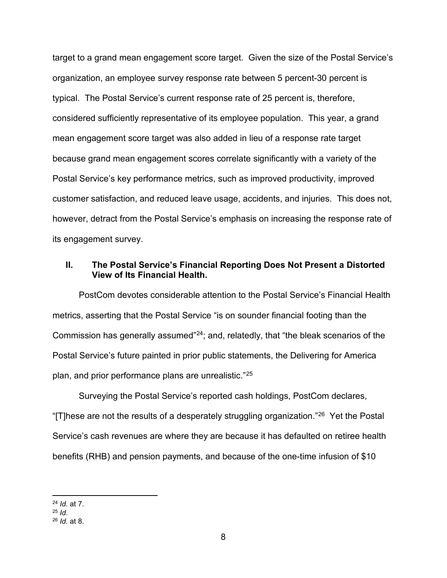target to a grand mean engagement score target. Given the size of the Postal Service's organization, an employee survey response rate between 5 percent-30 percent is typical. The Postal Service's current response rate of 25 percent is, therefore, considered sufficiently representative of its employee population. This year, a grand mean engagement score target was also added in lieu of a response rate target because grand mean engagement scores correlate significantly with a variety of the Postal Service's key performance metrics, such as improved productivity, improved customer satisfaction, and reduced leave usage, accidents, and injuries. This does not, however, detract from the Postal Service's emphasis on increasing the response rate of its engagement survey.

### **II. The Postal Service's Financial Reporting Does Not Present a Distorted View of Its Financial Health.**

PostCom devotes considerable attention to the Postal Service's Financial Health metrics, asserting that the Postal Service "is on sounder financial footing than the Commission has generally assumed"[24](#page-7-0); and, relatedly, that "the bleak scenarios of the Postal Service's future painted in prior public statements, the Delivering for America plan, and prior performance plans are unrealistic."[25](#page-7-1)

Surveying the Postal Service's reported cash holdings, PostCom declares, "[T]hese are not the results of a desperately struggling organization."<sup>26</sup> Yet the Postal Service's cash revenues are where they are because it has defaulted on retiree health benefits (RHB) and pension payments, and because of the one-time infusion of \$10

<span id="page-7-0"></span><sup>24</sup> *Id.* at 7.

<span id="page-7-1"></span><sup>25</sup> *Id*.

<span id="page-7-2"></span><sup>26</sup> *Id.* at 8.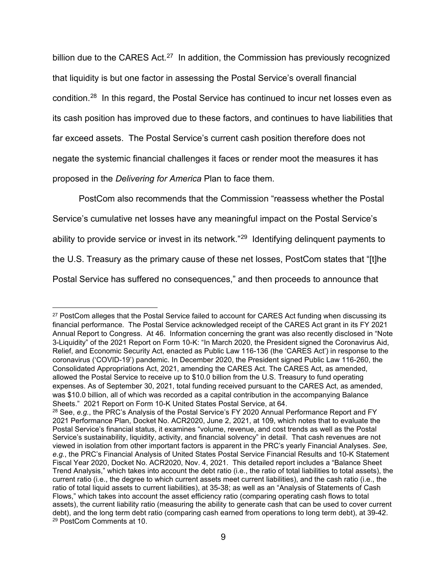billion due to the CARES Act.<sup>[27](#page-8-0)</sup> In addition, the Commission has previously recognized that liquidity is but one factor in assessing the Postal Service's overall financial condition.[28](#page-8-1) In this regard, the Postal Service has continued to incur net losses even as its cash position has improved due to these factors, and continues to have liabilities that far exceed assets. The Postal Service's current cash position therefore does not negate the systemic financial challenges it faces or render moot the measures it has proposed in the *Delivering for America* Plan to face them.

PostCom also recommends that the Commission "reassess whether the Postal Service's cumulative net losses have any meaningful impact on the Postal Service's ability to provide service or invest in its network."<sup>29</sup> Identifying delinquent payments to the U.S. Treasury as the primary cause of these net losses, PostCom states that "[t]he Postal Service has suffered no consequences," and then proceeds to announce that

<span id="page-8-0"></span><sup>&</sup>lt;sup>27</sup> PostCom alleges that the Postal Service failed to account for CARES Act funding when discussing its financial performance. The Postal Service acknowledged receipt of the CARES Act grant in its FY 2021 Annual Report to Congress. At 46. Information concerning the grant was also recently disclosed in "Note 3-Liquidity" of the 2021 Report on Form 10-K: "In March 2020, the President signed the Coronavirus Aid, Relief, and Economic Security Act, enacted as Public Law 116-136 (the 'CARES Act') in response to the coronavirus ('COVID-19') pandemic. In December 2020, the President signed Public Law 116-260, the Consolidated Appropriations Act, 2021, amending the CARES Act. The CARES Act, as amended, allowed the Postal Service to receive up to \$10.0 billion from the U.S. Treasury to fund operating expenses. As of September 30, 2021, total funding received pursuant to the CARES Act, as amended, was \$10.0 billion, all of which was recorded as a capital contribution in the accompanying Balance Sheets." 2021 Report on Form 10-K United States Postal Service, at 64.

<span id="page-8-2"></span><span id="page-8-1"></span><sup>28</sup> See, *e.g.*, the PRC's Analysis of the Postal Service's FY 2020 Annual Performance Report and FY 2021 Performance Plan, Docket No. ACR2020, June 2, 2021, at 109, which notes that to evaluate the Postal Service's financial status, it examines "volume, revenue, and cost trends as well as the Postal Service's sustainability, liquidity, activity, and financial solvency" in detail. That cash revenues are not viewed in isolation from other important factors is apparent in the PRC's yearly Financial Analyses. *See, e.g.*, the PRC's Financial Analysis of United States Postal Service Financial Results and 10-K Statement Fiscal Year 2020, Docket No. ACR2020, Nov. 4, 2021. This detailed report includes a "Balance Sheet Trend Analysis," which takes into account the debt ratio (i.e., the ratio of total liabilities to total assets), the current ratio (i.e., the degree to which current assets meet current liabilities), and the cash ratio (i.e., the ratio of total liquid assets to current liabilities), at 35-38; as well as an "Analysis of Statements of Cash Flows," which takes into account the asset efficiency ratio (comparing operating cash flows to total assets), the current liability ratio (measuring the ability to generate cash that can be used to cover current debt), and the long term debt ratio (comparing cash earned from operations to long term debt), at 39-42.<br><sup>29</sup> PostCom Comments at 10.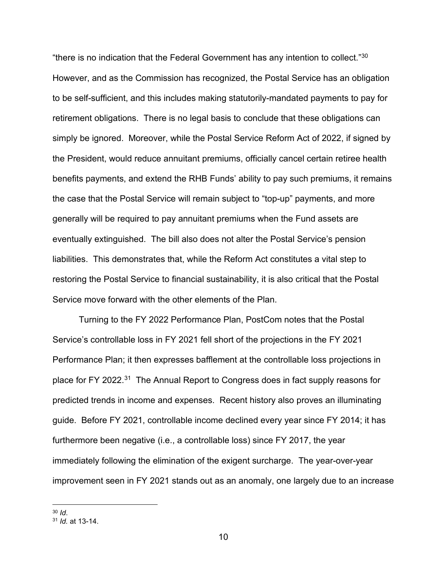"there is no indication that the Federal Government has any intention to collect.["30](#page-9-0) However, and as the Commission has recognized, the Postal Service has an obligation to be self-sufficient, and this includes making statutorily-mandated payments to pay for retirement obligations. There is no legal basis to conclude that these obligations can simply be ignored. Moreover, while the Postal Service Reform Act of 2022, if signed by the President, would reduce annuitant premiums, officially cancel certain retiree health benefits payments, and extend the RHB Funds' ability to pay such premiums, it remains the case that the Postal Service will remain subject to "top-up" payments, and more generally will be required to pay annuitant premiums when the Fund assets are eventually extinguished. The bill also does not alter the Postal Service's pension liabilities. This demonstrates that, while the Reform Act constitutes a vital step to restoring the Postal Service to financial sustainability, it is also critical that the Postal Service move forward with the other elements of the Plan.

Turning to the FY 2022 Performance Plan, PostCom notes that the Postal Service's controllable loss in FY 2021 fell short of the projections in the FY 2021 Performance Plan; it then expresses bafflement at the controllable loss projections in place for FY 2022.<sup>[31](#page-9-1)</sup> The Annual Report to Congress does in fact supply reasons for predicted trends in income and expenses. Recent history also proves an illuminating guide. Before FY 2021, controllable income declined every year since FY 2014; it has furthermore been negative (i.e., a controllable loss) since FY 2017, the year immediately following the elimination of the exigent surcharge. The year-over-year improvement seen in FY 2021 stands out as an anomaly, one largely due to an increase

<span id="page-9-1"></span><span id="page-9-0"></span><sup>30</sup> *Id*. 31 *Id.* at 13-14.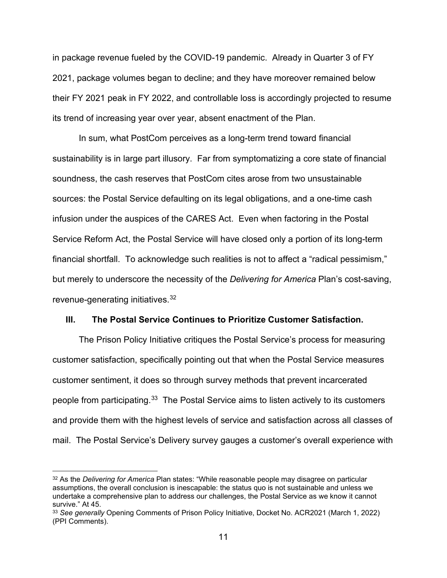in package revenue fueled by the COVID-19 pandemic. Already in Quarter 3 of FY 2021, package volumes began to decline; and they have moreover remained below their FY 2021 peak in FY 2022, and controllable loss is accordingly projected to resume its trend of increasing year over year, absent enactment of the Plan.

In sum, what PostCom perceives as a long-term trend toward financial sustainability is in large part illusory. Far from symptomatizing a core state of financial soundness, the cash reserves that PostCom cites arose from two unsustainable sources: the Postal Service defaulting on its legal obligations, and a one-time cash infusion under the auspices of the CARES Act. Even when factoring in the Postal Service Reform Act, the Postal Service will have closed only a portion of its long-term financial shortfall. To acknowledge such realities is not to affect a "radical pessimism," but merely to underscore the necessity of the *Delivering for America* Plan's cost-saving, revenue-generating initiatives.[32](#page-10-0)

#### **III. The Postal Service Continues to Prioritize Customer Satisfaction.**

The Prison Policy Initiative critiques the Postal Service's process for measuring customer satisfaction, specifically pointing out that when the Postal Service measures customer sentiment, it does so through survey methods that prevent incarcerated people from participating.<sup>[33](#page-10-1)</sup> The Postal Service aims to listen actively to its customers and provide them with the highest levels of service and satisfaction across all classes of mail. The Postal Service's Delivery survey gauges a customer's overall experience with

<span id="page-10-0"></span><sup>32</sup> As the *Delivering for America* Plan states: "While reasonable people may disagree on particular assumptions, the overall conclusion is inescapable: the status quo is not sustainable and unless we undertake a comprehensive plan to address our challenges, the Postal Service as we know it cannot survive." At 45.

<span id="page-10-1"></span><sup>33</sup> *See generally* Opening Comments of Prison Policy Initiative, Docket No. ACR2021 (March 1, 2022) (PPI Comments).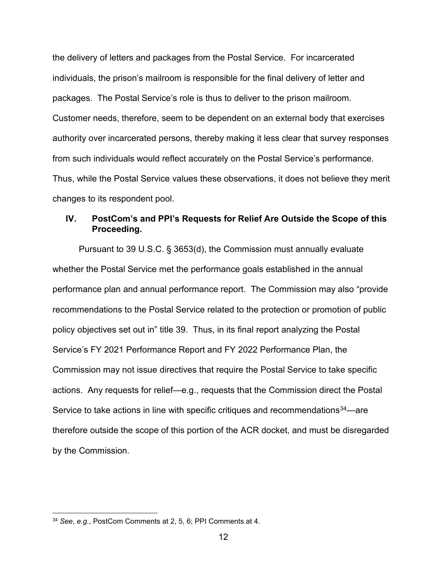the delivery of letters and packages from the Postal Service. For incarcerated individuals, the prison's mailroom is responsible for the final delivery of letter and packages. The Postal Service's role is thus to deliver to the prison mailroom. Customer needs, therefore, seem to be dependent on an external body that exercises authority over incarcerated persons, thereby making it less clear that survey responses from such individuals would reflect accurately on the Postal Service's performance. Thus, while the Postal Service values these observations, it does not believe they merit changes to its respondent pool.

## **IV. PostCom's and PPI's Requests for Relief Are Outside the Scope of this Proceeding.**

Pursuant to 39 U.S.C. § 3653(d), the Commission must annually evaluate whether the Postal Service met the performance goals established in the annual performance plan and annual performance report. The Commission may also "provide recommendations to the Postal Service related to the protection or promotion of public policy objectives set out in" title 39. Thus, in its final report analyzing the Postal Service's FY 2021 Performance Report and FY 2022 Performance Plan, the Commission may not issue directives that require the Postal Service to take specific actions. Any requests for relief—e.g., requests that the Commission direct the Postal Service to take actions in line with specific critiques and recommendations<sup>34</sup>—are therefore outside the scope of this portion of the ACR docket, and must be disregarded by the Commission.

<span id="page-11-0"></span><sup>34</sup> *See*, *e.g.*, PostCom Comments at 2, 5, 6; PPI Comments at 4.